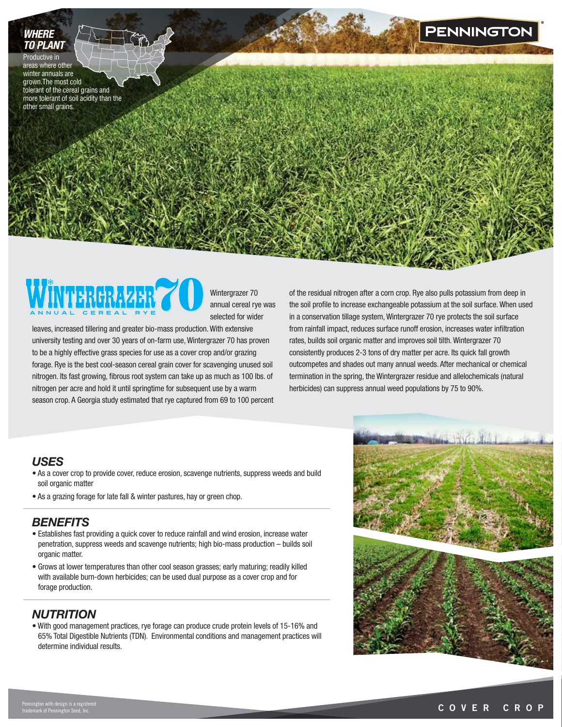# *WHERE TO PLANT*

Productive in areas where other winter annuals are grown.The most cold tolerant of the cereal grains and more tolerant of soil acidity than the other small grains.



Wintergrazer 70 annual cereal rye was selected for wider

leaves, increased tillering and greater bio-mass production. With extensive university testing and over 30 years of on-farm use, Wintergrazer 70 has proven to be a highly effective grass species for use as a cover crop and/or grazing forage. Rye is the best cool-season cereal grain cover for scavenging unused soil nitrogen. Its fast growing, fibrous root system can take up as much as 100 lbs. of nitrogen per acre and hold it until springtime for subsequent use by a warm season crop. A Georgia study estimated that rye captured from 69 to 100 percent of the residual nitrogen after a corn crop. Rye also pulls potassium from deep in the soil profile to increase exchangeable potassium at the soil surface. When used in a conservation tillage system, Wintergrazer 70 rye protects the soil surface from rainfall impact, reduces surface runoff erosion, increases water infiltration rates, builds soil organic matter and improves soil tilth. Wintergrazer 70 consistently produces 2-3 tons of dry matter per acre. Its quick fall growth outcompetes and shades out many annual weeds. After mechanical or chemical termination in the spring, the Wintergrazer residue and allelochemicals (natural herbicides) can suppress annual weed populations by 75 to 90%.

### *USES*

- As a cover crop to provide cover, reduce erosion, scavenge nutrients, suppress weeds and build soil organic matter
- As a grazing forage for late fall & winter pastures, hay or green chop.

## *BENEFITS*

- Establishes fast providing a quick cover to reduce rainfall and wind erosion, increase water penetration, suppress weeds and scavenge nutrients; high bio-mass production – builds soil organic matter.
- Grows at lower temperatures than other cool season grasses; early maturing; readily killed with available burn-down herbicides; can be used dual purpose as a cover crop and for forage production.

# *NUTRITION*

• With good management practices, rye forage can produce crude protein levels of 15-16% and 65% Total Digestible Nutrients (TDN). Environmental conditions and management practices will determine individual results.



**PENNINGTON**